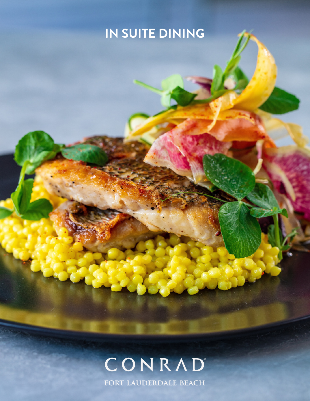# **IN SUITE DINING**

# CONRAD

FORT LAUDERDALE BEACH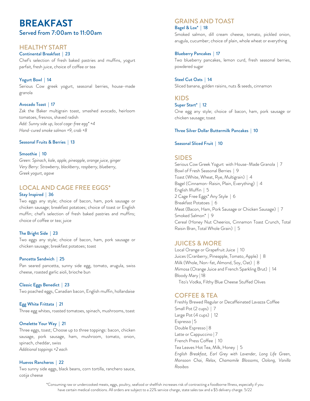# **BREAKFAST** Served from 7:00am to 11:00am

#### HEALTHY START

Continental Breakfast | 23 Chef's selection of fresh baked pastries and muffins, yogurt parfait, fresh juice, choice of coffee or tea

#### Yogurt Bowl | 14

Serious Cow greek yogurt, seasonal berries, house-made granola

#### Avocado Toast | 17

Zak the Baker multigrain toast, smashed avocado, heirloom tomatoes, fresnos, shaved radish *Add: Sunny side up, local cage-free egg\* +4 Hand-cured smoke salmon +9, crab +8*

Seasonal Fruits & Berries | 13

#### Smoothie | 10

*Green: Spinach, kale, apple, pineapple, orange juice, ginger Very Berry: Strawberry, blackberry, raspberry, blueberry, Greek yogurt, agave*

#### LOCAL AND CAGE FREE EGGS\* Stay Inspired | 36

Two eggs any style; choice of bacon, ham, pork sausage or chicken sausage; breakfast potatoes; choice of toast or English muffin; chef's selection of fresh baked pastries and muffins; choice of coffee or tea; juice

#### The Bright Side | 23

Two eggs any style; choice of bacon, ham, pork sausage or chicken sausage; breakfast potatoes; toast

#### Pancetta Sandwich | 25

Pan seared pancetta, sunny side egg, tomato, arugula, swiss cheese, roasted garlic aioli, brioche bun

Classic Eggs Benedict | 23 Two poached eggs, Canadian bacon, English muffin, hollandaise

Egg White Frittata | 21 Three egg whites, roasted tomatoes, spinach, mushrooms, toast

#### Omelette Your Way | 21

Three eggs, toast; Choose up to three toppings: bacon, chicken sausage, pork sausage, ham, mushroom, tomato, onion, spinach, cheddar, swiss *Additional toppings +2 each*

#### Huevos Rancheros | 22

Two sunny side eggs, black beans, corn tortilla, ranchero sauce, cotija cheese

#### GRAINS AND TOAST Bagel & Lox\* | 18

Smoked salmon, dill cream cheese, tomato, pickled onion, arugula, cucumber; choice of plain, whole wheat or everything

#### Blueberry Pancakes | 17

Two blueberry pancakes, lemon curd, fresh seasonal berries, powdered sugar

Steel Cut Oats | 14 Sliced banana, golden raisins, nuts & seeds, cinnamon

#### KIDS

Super Start\* | 12

One egg any style; choice of bacon, ham, pork sausage or chicken sausage; toast

#### Three Silver Dollar Buttermilk Pancakes | 10

#### Seasonal Sliced Fruit | 10

#### SIDES

Serious Cow Greek Yogurt with House-Made Granola | 7 Bowl of Fresh Seasonal Berries | 9 Toast (White, Wheat, Rye, Multigrain) | 4 Bagel (Cinnamon-Raisin, Plain, Everything) | 4 English Muffin | 5 2 Cage Free Eggs\* Any Style | 6 Breakfast Potatoes | 6 Meat (Bacon, Ham, Pork Sausage or Chicken Sausage) | 7 Smoked Salmon\* | 9 Cereal (Honey Nut Cheerios, Cinnamon Toast Crunch, Total Raisin Bran, Total Whole Grain) | 5

#### JUICES & MORE

Local Orange or Grapefruit Juice | 10 Juices (Cranberry, Pineapple, Tomato, Apple) | 8 Milk (Whole, Non-fat, Almond, Soy, Oat) | 8 Mimosa (Orange Juice and French Sparkling Brut) | 14 Bloody Mary | 18 Tito's Vodka, Filthy Blue Cheese Stuffed Olives

#### COFFEE & TEA

Freshly Brewed Regular or Decaffeinated Lavazza Coffee Small Pot (2 cups) | 7 Large Pot (4 cups) | 12 Espresso | 5 Double Espresso | 8 Latte or Cappuccino | 7 French Press Coffee | 10 Tea Leaves Hot Tea, Milk, Honey | 5 *English Breakfast, Earl Grey with Lavender, Long Life Green, Monsoon Chai, Relax, Chamomile Blossoms, Oolong, Vanilla Rooibos*

\*Consuming raw or undercooked meats, eggs, poultry, seafood or shellfish increases risk of contracting a foodborne Illness, especially if you have certain medical conditions. All orders are subject to a 22% service charge, state sales tax and a \$5 delivery charge. 5/22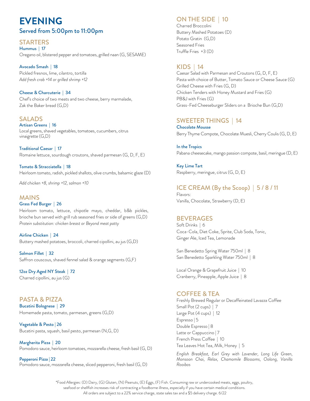# **EVENING** Served from 5:00pm to 11:00pm

#### **STARTERS** Hummus | 17 Oregano oil, blistered pepper and tomatoes, grilled naan (G, SESAME)

Avocado Smash | 18 Pickled fresnos, lime, cilantro, tortilla *Add fresh crab +14 or grilled shrimp +12*

Cheese & Charcuterie | 34 Chef's choice of two meats and two cheese, berry marmalade, Zak the Baker bread (G,D)

#### Artisan Greens | 16 Local greens, shaved vegetables, tomatoes, cucumbers, citrus vinaigrette (G,D) SALADS

Traditional Caesar | 17 Romaine lettuce, sourdough croutons, shaved parmesan (G, D, F, E)

Tomato & Stracciatella | 18 Heirloom tomato, radish, pickled shallots, olive crumbs, balsamic glaze (D)

*Add chicken +8, shrimp +12, salmon +10*

## MAINS

#### Grass Fed Burger | 26 Heirloom tomato, lettuce, chipotle mayo, cheddar, b&b pickles, brioche bun served with grill rub seasoned fries or side of greens (G,D) *Protein substitution: chicken breast or Beyond meat patty*

Airline Chicken | 24 Buttery mashed potatoes, broccoli, charred cipollini, au jus (G,D)

Salmon Fillet | 32 Saffron couscous, shaved fennel salad & orange segments (G,F)

12oz Dry Aged NY Steak | 72 Charred cipollini, au jus (G)

PASTA & PIZZA Bucatini Bolognese | 29 Homemade pasta, tomato, parmesan, greens (G,D)

Vegetable & Pesto | 26 Bucatini pasta, squash, basil pesto, parmesan (N,G, D)

Margherita Pizza | 20 Pomodoro sauce, heirloom tomatoes, mozzarella cheese, fresh basil (G, D)

Pepperoni Pizza | 22 Pomodoro sauce, mozzarella cheese, sliced pepperoni, fresh basil (G, D)

#### ON THE SIDE | 10

Charred Broccolini Buttery Mashed Potatoes (D) Potato Gratin (G,D) Seasoned Fries Truffle Fries +3 (D)

### KIDS | 14

Caesar Salad with Parmesan and Croutons (G, D, F, E) Pasta with choice of Butter, Tomato Sauce or Cheese Sauce (G) Grilled Cheese with Fries (G, D) Chicken Tenders with Honey Mustard and Fries (G) PB&J with Fries (G) Grass-Fed Cheeseburger Sliders on a Brioche Bun (G,D)

#### SWEETER THINGS | 14

Chocolate Mousse Berry Thyme Compote, Chocolate Muesli, Cherry Coulis (G, D, E)

In the Tropics Pabana cheesecake, mango passion compote, basil, meringue (D, E)

Key Lime Tart Raspberry, meringue, citrus (G, D, E)

# ICE CREAM (By the Scoop) | 5 / 8 / 11

Flavors: Vanilla, Chocolate, Strawberry (D, E)

#### BEVERAGES

Soft Drinks | 6 Coca-Cola, Diet Coke, Sprite, Club Soda, Tonic, Ginger Ale, Iced Tea, Lemonade

San Benedetto Spring Water 750ml | 8 San Benedetto Sparkling Water 750ml | 8

Local Orange & Grapefruit Juice | 10 Cranberry, Pineapple, Apple Juice | 8

#### COFFEE & TEA

Freshly Brewed Regular or Decaffeinated Lavazza Coffee Small Pot (2 cups) | 7 Large Pot (4 cups) | 12 Espresso | 5 Double Espresso | 8 Latte or Cappuccino | 7 French Press Coffee | 10 Tea Leaves Hot Tea, Milk, Honey | 5

*English Breakfast, Earl Grey with Lavender, Long Life Green, Monsoon Chai, Relax, Chamomile Blossoms, Oolong, Vanilla Rooibos*

\*Food Allergies: (D) Dairy, (G) Gluten, (N) Peanuts, (E) Eggs, (F) Fish. Consuming raw or undercooked meats, eggs, poultry, seafood or shellfish increases risk of contracting a foodborne illness, especially if you have certain medical conditions. All orders are subject to a 22% service charge, state sales tax and a \$5 delivery charge. 6/22